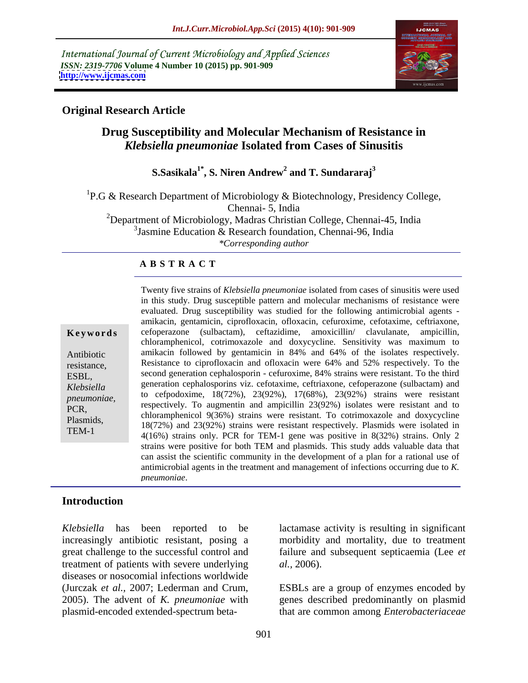International Journal of Current Microbiology and Applied Sciences *ISSN: 2319-7706* **Volume 4 Number 10 (2015) pp. 901-909 <http://www.ijcmas.com>**



### **Original Research Article**

# **Drug Susceptibility and Molecular Mechanism of Resistance in**  *Klebsiella pneumoniae* **Isolated from Cases of Sinusitis**

### **S.Sasikala1\* , S. Niren Andrew<sup>2</sup> and T. Sundararaj<sup>3</sup>**

<sup>1</sup>P.G & Research Department of Microbiology & Biotechnology, Presidency College, Chennai- 5, India <sup>2</sup>Department of Microbiology, Madras Christian College, Chennai-45, India 3 Jasmine Education & Research foundation, Chennai-96, India *\*Corresponding author*

### **A B S T R A C T**

TEM-1

in this study. Drug susceptible pattern and molecular mechanisms of resistance were evaluated. Drug susceptibility was studied for the following antimicrobial agents amikacin, gentamicin, ciprofloxacin, ofloxacin, cefuroxime, cefotaxime, ceftriaxone, cefoperazone (sulbactam), ceftazidime, amoxicillin/ clavulanate, ampicillin, chloramphenicol, cotrimoxazole and doxycycline. Sensitivity was maximum to amikacin followed by gentamicin in 84% and 64% of the isolates respectively. Resistance to ciprofloxacin and ofloxacin were 64% and 52% respectively. To the second generation cephalosporin - cefuroxime, 84% strains were resistant. To the third ESBL, generation cephalosporins viz. cefotaxime, ceftriaxone, cefoperazone (sulbactam) and *Klebsiella*  to cefpodoxime, 18(72%), 23(92%), 17(68%), 23(92%) strains were resistant pneumoniae, to cerpodoxime,  $16(72\%)$ ,  $25(92\%)$ ,  $17(08\%)$ ,  $25(92\%)$  strains were resistant and to respectively. To augment and ampicillin 23(92%) isolates were resistant and to PCR,<br>chloramphenicol 9(36%) strains were resistant. To cotrimoxazole and doxycycline Plasmids,<br>18(72%) and 23(92%) strains were resistant respectively. Plasmids were isolated in 4(16%) strains only. PCR for TEM-1 gene was positive in 8(32%) strains. Only 2 strains were positive for both TEM and plasmids. This study adds valuable data that can assist the scientific community in the development of a plan for a rational use of antimicrobial agents in the treatment and management of infections occurring due to *K.* **Examplemination** (sulbactam), ceftazidime, amoxicillin/ clavulanate, ampicillin,<br>choramphenicol, cortimoxazole and doxycycline. Sensitivity was maximum to<br>Antibiotic amikacin followed by gentamicin in 84% and 64% of the i Antibiotic amikacin followed by gentamicin in 84% and 64% of the isolates respectively. resistance, Resistance to ciprofloxacin and ofloxacin were 64% and 52% respectively. To the

Twenty five strains of *Klebsiella pneumoniae* isolated from cases of sinusitis were used

# **Introduction**

*Klebsiella* has been reported to be lactamase activity is resulting in significant increasingly antibiotic resistant, posing a morbidity and mortality, due to treatment great challenge to the successful control and failure and subsequent septicaemia (Lee *et*  treatment of patients with severe underlying al., 2006). diseases or nosocomial infections worldwide (Jurczak *et al.*, 2007; Lederman and Crum, ESBLs are a group of enzymes encoded by 2005). The advent of *K. pneumoniae* with genes described predominantly on plasmid plasmid-encoded extended-spectrum beta-

*al.,* 2006).

that are common among *Enterobacteriaceae*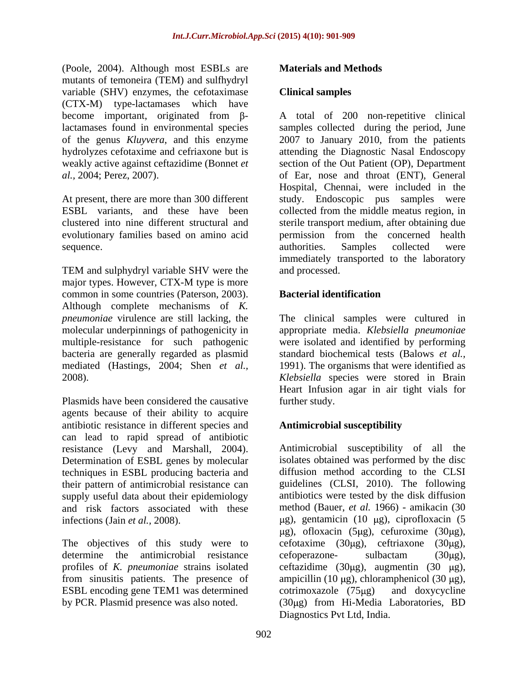(Poole, 2004). Although most ESBLs are **Materials and Methods** mutants of temoneira (TEM) and sulfhydryl variable (SHV) enzymes, the cefotaximase Clinical samples (CTX-M) type-lactamases which have

evolutionary families based on amino acid

TEM and sulphydryl variable SHV were the major types. However, CTX-M type is more common in some countries (Paterson, 2003). Although complete mechanisms of *K. pneumoniae* virulence are still lacking, the The clinical samples were cultured in molecular underpinnings of pathogenicity in appropriate media. *Klebsiella pneumoniae* multiple-resistance for such pathogenic bacteria are generally regarded as plasmid mediated (Hastings, 2004; Shen *et al.,* 1991). The organisms that were identified as 2008). *Klebsiella* species were stored in Brain

Plasmids have been considered the causative further study. agents because of their ability to acquire antibiotic resistance in different species and can lead to rapid spread of antibiotic resistance (Levy and Marshall, 2004). Determination of ESBL genes by molecular techniques in ESBL producing bacteria and supply useful data about their epidemiology

determine the antimicrobial resistance cefoperazone- sulbactam (30ug), ESBL encoding gene TEM1 was determined cotrimoxazole (75µg) and doxycycline

## **Materials and Methods**

### **Clinical samples**

become important, originated from  $\beta$ - A total of 200 non-repetitive clinical lactamases found in environmental species samples collected during the period, June of the genus *Kluyvera*, and this enzyme 2007 to January 2010, from the patients hydrolyzes cefotaxime and cefriaxone but is attending the Diagnostic Nasal Endoscopy weakly active against ceftazidime (Bonnet *et*  section of the Out Patient (OP), Department *al.,* 2004; Perez, 2007). of Ear, nose and throat (ENT), General At present, there are more than 300 different study. Endoscopic pus samples were ESBL variants, and these have been collected from the middle meatus region, in clustered into nine different structural and sterile transport medium, after obtaining due sequence. The authorities. Samples collected were Hospital, Chennai, were included in the permission from the concerned health authorities. Samples collected were immediately transported to the laboratory and processed.

## **Bacterial identification**

were isolated and identified by performing standard biochemical tests (Balows *et al.,* Heart Infusion agar in air tight vials for further study.

### **Antimicrobial susceptibility**

their pattern of antimicrobial resistance can guidelines (CLSI, 2010). The following and risk factors associated with these method (Bauer, *et al.* 1966) - amikacin (30 infections (Jain *et al.*, 2008). <br>  $\mu$ g), gentamicin (10  $\mu$ g), ciprofloxacin (5 The objectives of this study were to cefotaxime  $(30\mu g)$ , ceftriaxone  $(30\mu g)$ , profiles of *K. pneumoniae* strains isolated ceftazidime (30µg), augmentin (30 µg), from sinusitis patients. The presence of ampicillin  $(10 \mu g)$ , chloramphenicol  $(30 \mu g)$ , by PCR. Plasmid presence was also noted. (30µg) from Hi-Media Laboratories, BD Antimicrobial susceptibility of all the isolates obtained was performed by the disc diffusion method according to the CLSI antibiotics were tested by the disk diffusion  $\mu$ g), ofloxacin (5 $\mu$ g), cefuroxime (30 $\mu$ g), cefoperazone- sulbactam (30µg),  $cotrimoxazole$  (75 $\mu$ g) and doxycycline Diagnostics Pvt Ltd, India.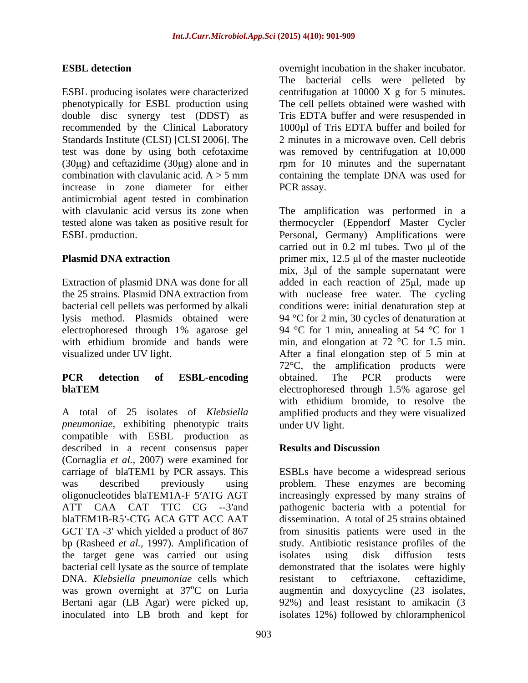ESBL producing isolates were characterized centrifugation at 10000 X g for 5 minutes. phenotypically for ESBL production using The cell pellets obtained were washed with double disc synergy test (DDST) as recommended by the Clinical Laboratory 1000µl of Tris EDTA buffer and boiled for Standards Institute (CLSI) [CLSI 2006]. The 2 minutes in a microwave oven. Cell debris test was done by using both cefotaxime was removed by centrifugation at 10,000  $(30\mu g)$  and ceftazidime  $(30\mu g)$  alone and in rpm for 10 minutes and the supernatant combination with clavulanic acid.  $A > 5$  mm containing the template DNA was used for increase in zone diameter for either PCR assay. antimicrobial agent tested in combination

A total of 25 isolates of *Klebsiella*  amplified products and they were visualized *pneumoniae,* exhibiting phenotypic traits compatible with ESBL production as described in a recent consensus paper **Results and Discussion** (Cornaglia *et al.,* 2007) were examined for the target gene was carried out using isolates using disk diffusion tests bacterial cell lysate as the source of template DNA. *Klebsiella pneumoniae* cells which inoculated into LB broth and kept for isolates 12%) followed by chloramphenicol

**ESBL detection** overnight incubation in the shaker incubator. The bacterial cells were pelleted by Tris EDTA buffer and were resuspended in PCR assay.

with clavulanic acid versus its zone when The amplification was performed in a tested alone was taken as positive result for thermocycler (Eppendorf Master Cycler ESBL production. Personal, Germany) Amplifications were **Plasmid DNA extraction** primer mix, 12.5 µ of the master nucleotide Extraction of plasmid DNA was done for all added in each reaction of 25µl, made up the 25 strains. Plasmid DNA extraction from with nuclease free water. The cycling bacterial cell pellets was performed by alkali conditions were: initial denaturation step at lysis method. Plasmids obtained were 94 °C for 2 min, 30 cycles of denaturation at electrophoresed through 1% agarose gel 94 °C for 1 min, annealing at 54 °C for 1 with ethidium bromide and bands were min, and elongation at 72 °C for 1.5 min. visualized under UV light. After a final elongation step of 5 min at **PCR detection of ESBL-encoding blaTEM** electrophoresed through 1.5% agarose gel carried out in  $0.2$  ml tubes. Two  $\mu$ l of the mix, 3µl of the sample supernatant were 72°C, the amplification products were obtained. The PCR products were electrophoresed through 1.5% agarose gel with ethidium bromide, to resolve the under UV light.

# **Results and Discussion**

carriage of blaTEM1 by PCR assays. This ESBLs have become a widespread serious was described previously using problem. These enzymes are becoming oligonucleotides blaTEM1A-F 5'ATG AGT increasingly expressed by many strains of ATT CAA CAT TTC CG --3 and pathogenic bacteria with a potential for blaTEM1B-R5'-CTG ACA GTT ACC AAT dissemination. A total of 25 strains obtained GCT TA -3' which yielded a product of 867 from sinusitis patients were used in the bp (Rasheed *et al.,* 1997). Amplification of study. Antibiotic resistance profiles of the was grown overnight at 37°C on Luria augmentin and doxycycline (23 isolates, Bertani agar (LB Agar) were picked up, 92%) and least resistant to amikacin (3 isolates using disk diffusion tests demonstrated that the isolates were highly resistant to ceftriaxone, ceftazidime,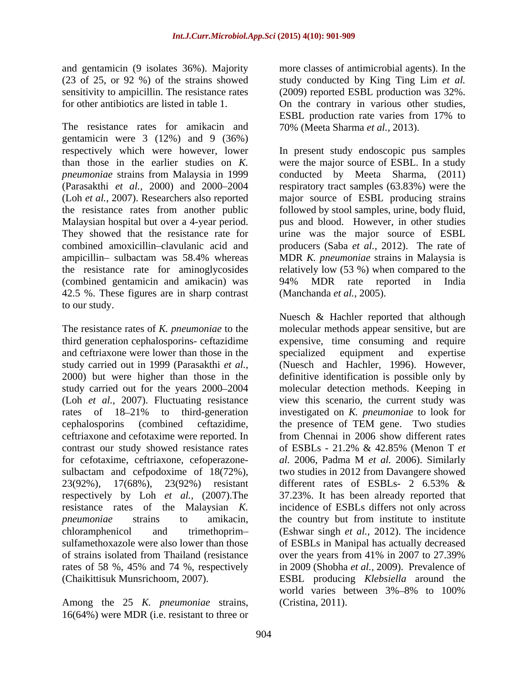sensitivity to ampicillin. The resistance rates (2009) reported ESBL production was 32%. for other antibiotics are listed in table 1. On the contrary in various other studies,

The resistance rates for amikacin and gentamic in were  $3(12\%)$  and  $9(36\%)$ Malaysian hospital but over a 4-year period. (combined gentamicin and amikacin) was 42.5 %. These figures are in sharp contrast to our study.

and ceftriaxone were lower than those in the specialized equipment and expertise study carried out in 1999 (Parasakthi *et al.,* (Loh *et al.,* 2007). Fluctuating resistance cephalosporins (combined ceftazidime, ceftriaxone and cefotaxime were reported. In contrast our study showed resistance rates of ESBLs -  $21.2\%$  &  $42.85\%$  (Menon T et 23(92%), 17(68%), 23(92%) resistant different rates of ESBLs- 2 6.53% & rates of 58 %, 45% and 74 %, respectively

Among the 25 *K. pneumoniae* strains, 16(64%) were MDR (i.e. resistant to three or

and gentamicin (9 isolates 36%). Majority more classes of antimicrobial agents). In the (23 of 25, or 92 %) of the strains showed study conducted by King Ting Lim *et al.* (2009) reported ESBL production was 32%. On the contrary in various other studies, ESBL production rate varies from 17% to 70% (Meeta Sharma *et al.,* 2013).

respectively which were however, lower In present study endoscopic pus samples than those in the earlier studies on *K.*  were the major source of ESBL. In a study *pneumoniae* strains from Malaysia in 1999 conducted by Meeta Sharma, (2011) (Parasakthi *et al.*, 2000) and 2000–2004 respiratory tract samples (63.83%) were the (Loh *et al.,* 2007). Researchers also reported major source of ESBL producing strains the resistance rates from another public followed by stool samples, urine, body fluid, They showed that the resistance rate for urine was the major source of ESBL combined amoxicillin clavulanic acid and producers (Saba *et al.,* 2012). The rate of ampicillin- sulbactam was 58.4% whereas MDR *K. pneumoniae* strains in Malaysia is the resistance rate for aminoglycosides relatively low (53 %) when compared to the pus and blood. However, in other studies 94% MDR rate reported in India (Manchanda *et al.,* 2005).

The resistance rates of *K. pneumoniae* to the molecular methods appear sensitive, but are third generation cephalosporins- ceftazidime expensive, time consuming and require 2000) but were higher than those in the definitive identification is possible only by study carried out for the years 2000–2004 molecular detection methods. Keeping in rates of 18–21% to third-generation investigated on *K. pneumoniae* to look for for cefotaxime, ceftriaxone, cefoperazone- *al.* 2006, Padma M *et al.* 2006). Similarly sulbactam and cefpodoxime of 18(72%), two studies in 2012 from Davangere showed respectively by Loh *et al.,* (2007).The 37.23%. It has been already reported that resistance rates of the Malaysian *K.*  incidence of ESBLs differs not only across *pneumoniae* strains to amikacin, the country but from institute to institute chloramphenicol and trimethoprim (Eshwar singh *et al.,* 2012). The incidence sulfamethoxazole were also lower than those of ESBLs in Manipal has actually decreased of strains isolated from Thailand (resistance over the years from 41% in 2007 to 27.39% (Chaikittisuk Munsrichoom, 2007). ESBL producing *Klebsiella* around the Nuesch & Hachler reported that although specialized equipment and expertise (Nuesch and Hachler, 1996). However, view this scenario, the current study was the presence of TEM gene. Two studies from Chennai in 2006 show different rates of ESBLs - 21.2% & 42.85% (Menon T *et*  different rates of ESBLs- 2 6.53% & in 2009 (Shobha *et al.,* 2009). Prevalence of world varies between 3%–8% to 100% (Cristina, 2011).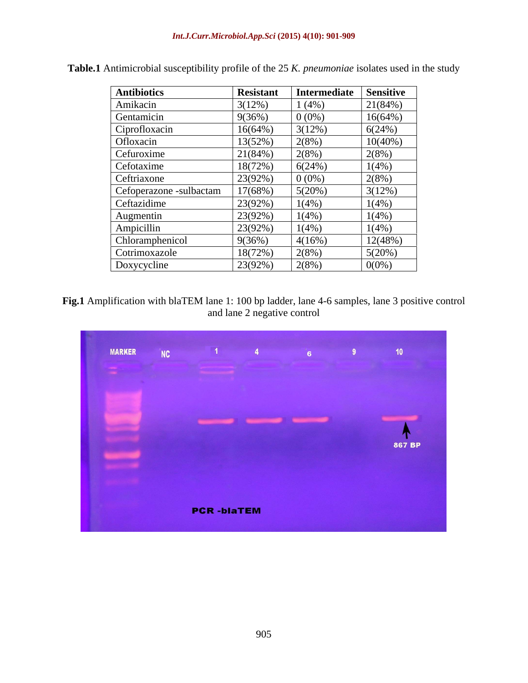| <b>Antibiotics</b>      | <b>Resistant</b> | Intermediate | <b>Sensitive</b> |
|-------------------------|------------------|--------------|------------------|
| Amikacin                | 3(12%)           | 1(4%)        | 21(84%)          |
| Gentamicin              | 9(36%)           | $0(0\%)$     | 16(64%)          |
| Ciprofloxacin           | $16(64\%)$       | 3(12%)       | 6(24%)           |
| Ofloxacin               | 13(52%)          | 2(8%)        | $10(40\%)$       |
| Cefuroxime              | 21(84%)          | 2(8%)        | 2(8%)            |
| Cefotaxime              | 18(72%)          | 6(24%)       | 1(4%)            |
| Ceftriaxone             | 23(92%)          | $0(0\%)$     | 2(8%)            |
| Cefoperazone -sulbactam | 17(68%)          | 5(20%)       | 3(12%)           |
| Ceftazidime             | 23(92%)          | 1(4%)        | 1(4%)            |
| Augmentin               | 23(92%)          | $1(4\%)$     | $1(4\%)$         |
| Ampicillin              | 23(92%)          | 1(4%)        | 1(4%)            |
| Chloramphenicol         | 9(36%)           | 4(16%)       | 12(48%)          |
| Cotrimoxazole           | 18(72%)          | 2(8%)        | 5(20%)           |
| Doxycycline             | 23(92%)          | 2(8%)        | $0(0\%)$         |

**Table.1** Antimicrobial susceptibility profile of the 25 *K. pneumoniae* isolates used in the study

**Fig.1** Amplification with blaTEM lane 1: 100 bp ladder, lane 4-6 samples, lane 3 positive control and lane 2 negative control

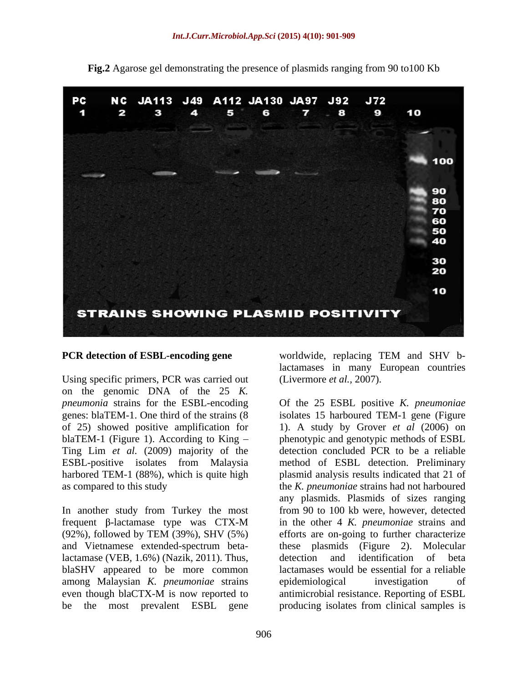

**Fig.2** Agarose gel demonstrating the presence of plasmids ranging from 90 to100 Kb

Using specific primers, PCR was carried out on the genomic DNA of the 25 *K.*  Ting Lim *et al.* (2009) majority of the

In another study from Turkey the most lactamase (VEB, 1.6%) (Nazik, 2011). Thus, detection and identification of beta blaSHV appeared to be more common among Malaysian *K. pneumoniae* strains epidemiological investigation of even though blaCTX-M is now reported to antimicrobial resistance. Reporting of ESBL be the most prevalent ESBL gene

906

**PCR detection of ESBL-encoding gene** worldwide, replacing TEM and SHV blactamases in many European countries (Livermore *et al.,* 2007).

*pneumonia* strains for the ESBL-encoding Of the 25 ESBL positive *K. pneumoniae* genes: blaTEM-1. One third of the strains (8 isolates 15 harboured TEM-1 gene (Figure of 25) showed positive amplification for 1). A study by Grover *et al* (2006) on blaTEM-1 (Figure 1). According to King – phenotypic and genotypic methods of ESBL ESBL-positive isolates from Malaysia method of ESBL detection. Preliminary harbored TEM-1 (88%), which is quite high plasmid analysis results indicated that 21 of as compared to this study the *K. pneumoniae* strains had not harboured frequent  $\beta$ -lactamase type was CTX-M in the other 4 *K. pneumoniae* strains and (92%), followed by TEM (39%), SHV (5%) and Vietnamese extended-spectrum beta-these plasmids (Figure 2). Molecular even though blaCTX-M is now reported to antimicrobial resistance. Reporting of ESBL detection concluded PCR to be a reliable any plasmids. Plasmids of sizes ranging from 90 to 100 kb were, however, detected efforts are on-going to further characterize detection and identification of beta lactamases would be essential for a reliable epidemiological investigation of antimicrobial resistance. Reporting of ESBL producing isolates from clinical samples is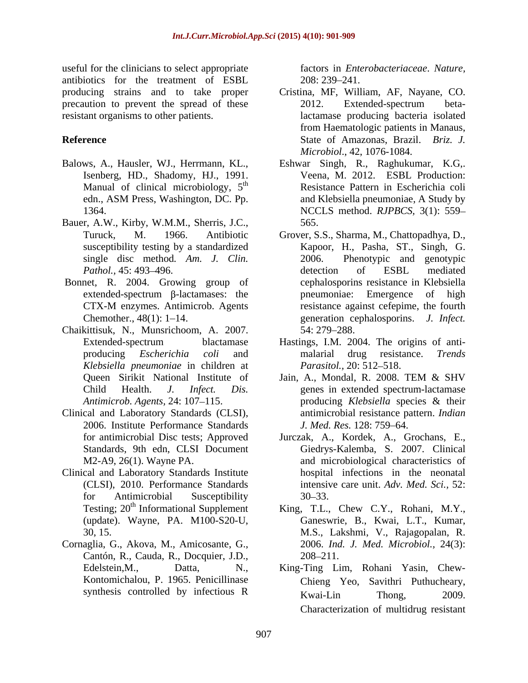useful for the clinicians to select appropriate antibiotics for the treatment of ESBL precaution to prevent the spread of these 2012. Extended-spectrum beta-

- Balows, A., Hausler, WJ., Herrmann, KL., Isenberg, HD., Shadomy, HJ., 1991. Manual of clinical microbiology,  $5<sup>th</sup>$
- Bauer, A.W., Kirby, W.M.M., Sherris, J.C., 565. single disc method*. Am. J. Clin.*
- Bonnet, R. 2004. Growing group of
- Chaikittisuk, N., Munsrichoom, A. 2007. *Klebsiella pneumoniae* in children at
- Clinical and Laboratory Standards (CLSI), 2006. Institute Performance Standards J. Med. Res. 128: 759–64.
- Clinical and Laboratory Standards Institute
- Cornaglia, G., Akova, M., Amicosante, G., Cantón, R., Cauda, R., Docquier, J.D.,

factors in *Enterobacteriaceae*. *Nature,* 208: 239 241.

- producing strains and to take proper Cristina, MF, William, AF, Nayane, CO. resistant organisms to other patients. lactamase producing bacteria isolated **Reference** State of Amazonas, Brazil. *Briz. J.* 2012. Extended-spectrum betafrom Haematologic patients in Manaus, *Microbiol*., 42, 1076-1084.
	- th Resistance Pattern in Escherichia coli edn., ASM Press, Washington, DC. Pp. 1364. NCCLS method. *RJPBCS,* 3(1): 559 Eshwar Singh, R., Raghukumar, K.G,. Veena, M. 2012. ESBL Production: and Klebsiella pneumoniae, A Study by 565.
	- Turuck, M. 1966. Antibiotic Grover, S.S., Sharma, M., Chattopadhya, D., susceptibility testing by a standardized Kapoor, H., Pasha, ST., Singh, G. *Pathol.,* 45: 493–496. *Pathol.,* 45: 493–496. *Pathol.,* 45: 493–496.  $extended-spectrum$   $\beta$ -lactamases: the pneumoniae: Emergence of high CTX-M enzymes. Antimicrob. Agents Chemother., 48(1): 1–14. energy generation cephalosporins. *J. Infect.* Phenotypic and genotypic detection of ESBL mediated cephalosporins resistance in Klebsiella pneumoniae: Emergence of high resistance against cefepime, the fourth 54: 279 288.
	- Extended-spectrum blactamase Hastings, I.M. 2004. The origins of anti producing *Escherichia coli* and malarial drug resistance. *Trends Parasitol.,* 20: 512–518.
	- Queen Sirikit National Institute of Jain, A., Mondal, R. 2008. TEM & SHV Child Health. *J. Infect. Dis.* genes in extended spectrum-lactamase *Antimicrob. Agents,* 24: 107–115. producing *Klebsiella* species & their Jain, A., Mondal, R. 2008. TEM & SHV producing *Klebsiella* species & their antimicrobial resistance pattern. *Indian J. Med. Res.* 128: 759 64.
	- for antimicrobial Disc tests; Approved Jurczak, A., Kordek, A., Grochans, E., Standards, 9th edn, CLSI Document Giedrys-Kalemba, S. 2007. Clinical M2-A9, 26(1). Wayne PA. and microbiological characteristics of (CLSI), 2010. Performance Standards intensive care unit. *Adv. Med. Sci.,* 52: for Antimicrobial Susceptibility 30–33. hospital infections in the neonatal  $30 - 33$ .
	- Testing; 20<sup>th</sup> Informational Supplement King, T.L., Chew C.Y., Rohani, M.Y., (update). Wayne, PA. M100-S20-U, Ganeswrie, B., Kwai, L.T., Kumar, 30, 15. M.S., Lakshmi, V., Rajagopalan, R. 2006. *Ind. J. Med. Microbiol.,* 24(3): 208 211.
	- Edelstein,M., Datta, N., King-Ting Lim, Rohani Yasin, Chew- Kontomichalou, P. 1965. Penicillinase Chieng Yeo, Savithri Puthucheary, synthesis controlled by infectious R Kwai-Lin Thong, 2009. Chieng Yeo, Savithri Puthucheary, Kwai-Lin Thong, 2009. Characterization of multidrug resistant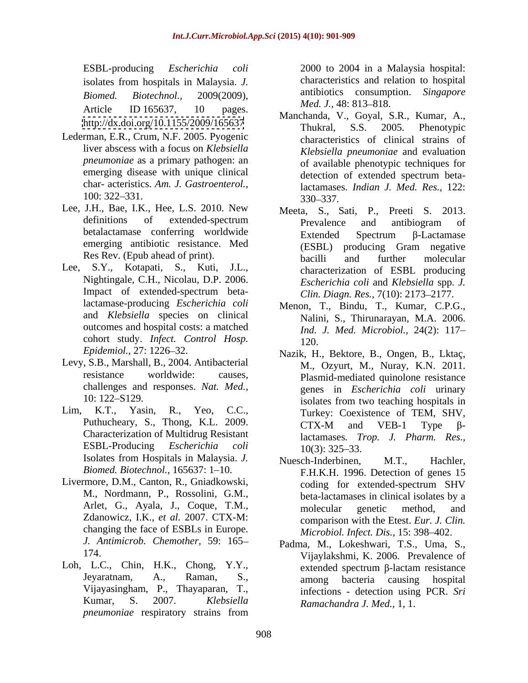Article ID 165637, 10 pages. Meaton M. Correl S.D. Kennet A

- Lederman, E.R., Crum, N.F. 2005. Pyogenic liver abscess with a focus on *Klebsiella pneumoniae* as a primary pathogen: an char- acteristics. *Am. J. Gastroenterol.,*
- Lee, J.H., Bae, I.K., Hee, L.S. 2010. New emerging antibiotic resistance. Med
- Lee, S.Y., Kotapati, S., Kuti, J.L., Nightingale, C.H., Nicolau, D.P. 2006. Impact of extended-spectrum betalactamase-producing *Escherichia coli* outcomes and hospital costs: a matched cohort study. *Infect. Control Hosp.*
- Levy, S.B., Marshall, B., 2004. Antibacterial challenges and responses. *Nat. Med.,*
- Characterization of Multidrug Resistant Isolates from Hospitals in Malaysia. *J.* Nuesch-Inderbinen, M.T., Hachler, *Biomed. Biotechnol.,* 165637: 1-10.
- Livermore, D.M., Canton, R., Gniadkowski, M., Nordmann, P., Rossolini, G.M., Zdanowicz, I.K., *et al.* 2007. CTX-M: changing the face of ESBLs in Europe.
- Loh, L.C., Chin, H.K., Chong, Y.Y., extended spectrum β-lactam resistance *pneumoniae* respiratory strains from

ESBL-producing *Escherichia coli* 2000 to 2004 in a Malaysia hospital: isolates from hospitals in Malaysia. *J. Biomed. Biotechnol.,* 2009(2009), antibiotics consumption. *Singapore*  characteristics and relation to hospital *Med. J.,* 48: 813–818.

- <http://dx.doi.org/10.1155/2009/165637><br>Thukral, S.S. 2005. Phenotypic emerging disease with unique clinical detection of extended spectrum beta-100: 322–331. 330–337. Manchanda, V., Goyal, S.R., Kumar, A., Thukral, S.S. 2005. Phenotypic characteristics of clinical strains of *Klebsiella pneumoniae* and evaluation of available phenotypic techniques for lactamases. *Indian J. Med. Res.,* 122: 330 337.
- definitions of extended-spectrum **Prevalence** and antibiogram of betalactamase conferring worldwide Extended Spectrum B-Lactamase Res Rev. (Epub ahead of print). bacilli and further molecular Meeta, S., Sati, P., Preeti S. 2013. Prevalence and antibiogram of  $Extended$  Spectrum  $\beta$ -Lactamase (ESBL) producing Gram negative bacilli and further molecular characterization of ESBL producing *Escherichia coli* and *Klebsiella* spp. *J. Clin. Diagn. Res.,* 7(10): 2173-2177.
- and *Klebsiella* species on clinical Nalini, S., Thirunarayan, M.A. 2006. Menon, T., Bindu, T., Kumar, C.P.G., *Ind. J. Med. Microbiol.,* 24(2): 117 120.
- *Epidemiol.,* 27: 1226 32. Nazik, H., Bektore, B., Ongen, B., Lktaç, resistance worldwide: causes, Plasmid-mediated quinolone resistance 10: 122–S129. isolates from two teaching hospitals in Lim, K.T., Yasin, R., Yeo, C.C., Turkey: Coexistence of TEM, SHV, Puthucheary, S., Thong, K.L. 2009. CTX-M and VEB-1 Type  $\beta$ -ESBL-Producing *Escherichia coli* M., Ozyurt, M., Nuray, K.N. 2011. genes in *Escherichia coli* urinary  $CTX-M$  and  $VEB-1$  Type  $\beta$ lactamases*. Trop. J. Pharm. Res.,*  $10(3)$ : 325–33.
	- Arlet, G., Ayala, J., Coque, T.M., molecular genetic method, and Nuesch-Inderbinen, F.H.K.H. 1996. Detection of genes 15 coding for extended-spectrum SHV beta-lactamases in clinical isolates by a molecular genetic method, and comparison with the Etest. *Eur. J. Clin. Microbiol. Infect. Dis., 15: 398-402.*
	- *J. Antimicrob. Chemother,* 59: 165 Padma, M., Lokeshwari, T.S., Uma, S., 174. Vijaylakshmi, K. 2006. Prevalence of Jeyaratnam, A., Raman, S., among bacteria causing hospital Vijayasingham, P., Thayaparan, T., infections - detection using PCR. *Sri*  Kumar, S. 2007. *Klebsiella Ramachandra J. Med.,* 1, 1.extended spectrum  $\beta$ -lactam resistance